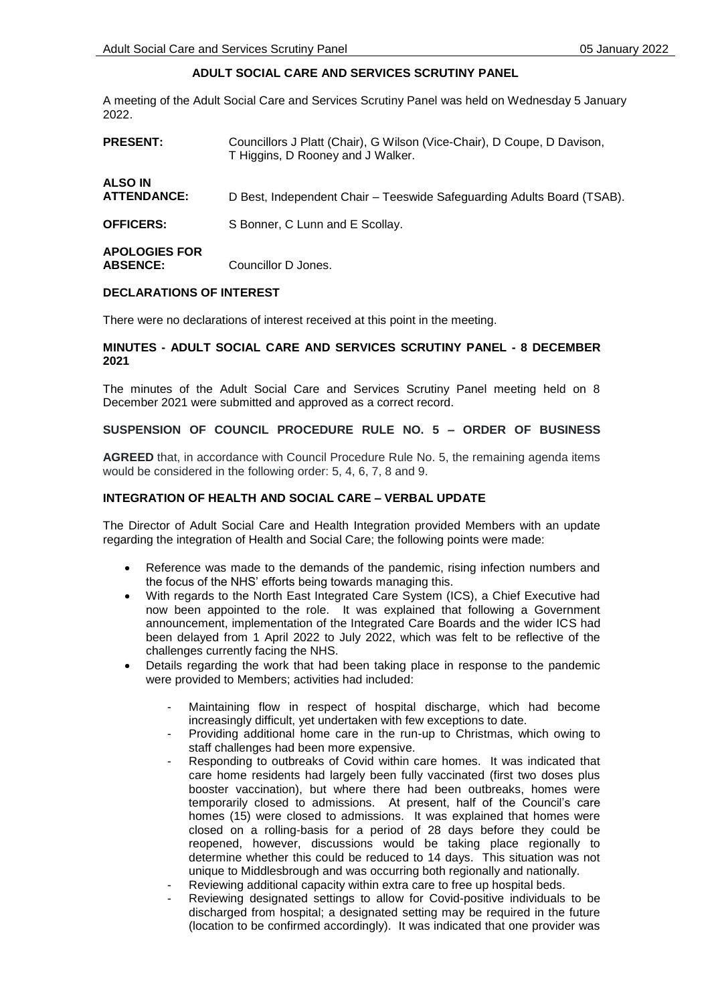# **ADULT SOCIAL CARE AND SERVICES SCRUTINY PANEL**

A meeting of the Adult Social Care and Services Scrutiny Panel was held on Wednesday 5 January 2022.

| <b>PRESENT:</b>                         | Councillors J Platt (Chair), G Wilson (Vice-Chair), D Coupe, D Davison,<br>T Higgins, D Rooney and J Walker. |
|-----------------------------------------|--------------------------------------------------------------------------------------------------------------|
| <b>ALSO IN</b><br><b>ATTENDANCE:</b>    | D Best, Independent Chair – Teeswide Safeguarding Adults Board (TSAB).                                       |
| <b>OFFICERS:</b>                        | S Bonner, C Lunn and E Scollay.                                                                              |
| <b>APOLOGIES FOR</b><br><b>ABSENCE:</b> | Councillor D Jones.                                                                                          |

### **DECLARATIONS OF INTEREST**

There were no declarations of interest received at this point in the meeting.

### **MINUTES - ADULT SOCIAL CARE AND SERVICES SCRUTINY PANEL - 8 DECEMBER 2021**

The minutes of the Adult Social Care and Services Scrutiny Panel meeting held on 8 December 2021 were submitted and approved as a correct record.

#### **SUSPENSION OF COUNCIL PROCEDURE RULE NO. 5 – ORDER OF BUSINESS**

**AGREED** that, in accordance with Council Procedure Rule No. 5, the remaining agenda items would be considered in the following order: 5, 4, 6, 7, 8 and 9.

### **INTEGRATION OF HEALTH AND SOCIAL CARE – VERBAL UPDATE**

The Director of Adult Social Care and Health Integration provided Members with an update regarding the integration of Health and Social Care; the following points were made:

- Reference was made to the demands of the pandemic, rising infection numbers and the focus of the NHS' efforts being towards managing this.
- With regards to the North East Integrated Care System (ICS), a Chief Executive had now been appointed to the role. It was explained that following a Government announcement, implementation of the Integrated Care Boards and the wider ICS had been delayed from 1 April 2022 to July 2022, which was felt to be reflective of the challenges currently facing the NHS.
- Details regarding the work that had been taking place in response to the pandemic were provided to Members; activities had included:
	- Maintaining flow in respect of hospital discharge, which had become increasingly difficult, yet undertaken with few exceptions to date.
	- Providing additional home care in the run-up to Christmas, which owing to staff challenges had been more expensive.
	- Responding to outbreaks of Covid within care homes. It was indicated that care home residents had largely been fully vaccinated (first two doses plus booster vaccination), but where there had been outbreaks, homes were temporarily closed to admissions. At present, half of the Council's care homes (15) were closed to admissions. It was explained that homes were closed on a rolling-basis for a period of 28 days before they could be reopened, however, discussions would be taking place regionally to determine whether this could be reduced to 14 days. This situation was not unique to Middlesbrough and was occurring both regionally and nationally.
	- Reviewing additional capacity within extra care to free up hospital beds.
	- Reviewing designated settings to allow for Covid-positive individuals to be discharged from hospital; a designated setting may be required in the future (location to be confirmed accordingly). It was indicated that one provider was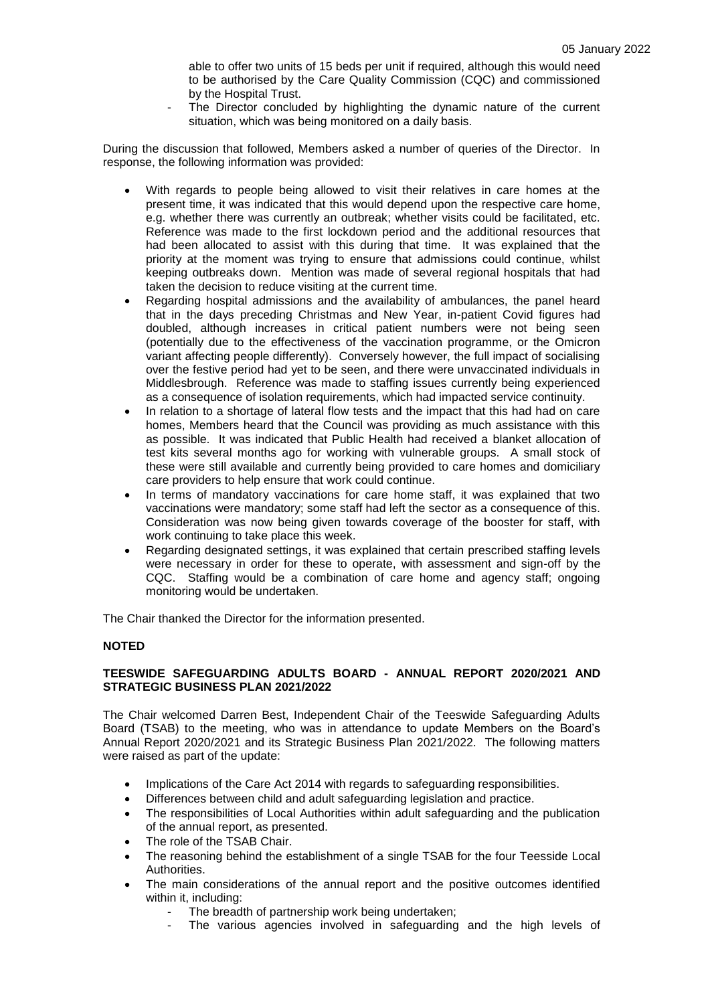able to offer two units of 15 beds per unit if required, although this would need to be authorised by the Care Quality Commission (CQC) and commissioned by the Hospital Trust.

The Director concluded by highlighting the dynamic nature of the current situation, which was being monitored on a daily basis.

During the discussion that followed, Members asked a number of queries of the Director. In response, the following information was provided:

- With regards to people being allowed to visit their relatives in care homes at the present time, it was indicated that this would depend upon the respective care home, e.g. whether there was currently an outbreak; whether visits could be facilitated, etc. Reference was made to the first lockdown period and the additional resources that had been allocated to assist with this during that time. It was explained that the priority at the moment was trying to ensure that admissions could continue, whilst keeping outbreaks down. Mention was made of several regional hospitals that had taken the decision to reduce visiting at the current time.
- Regarding hospital admissions and the availability of ambulances, the panel heard that in the days preceding Christmas and New Year, in-patient Covid figures had doubled, although increases in critical patient numbers were not being seen (potentially due to the effectiveness of the vaccination programme, or the Omicron variant affecting people differently). Conversely however, the full impact of socialising over the festive period had yet to be seen, and there were unvaccinated individuals in Middlesbrough. Reference was made to staffing issues currently being experienced as a consequence of isolation requirements, which had impacted service continuity.
- In relation to a shortage of lateral flow tests and the impact that this had had on care homes, Members heard that the Council was providing as much assistance with this as possible. It was indicated that Public Health had received a blanket allocation of test kits several months ago for working with vulnerable groups. A small stock of these were still available and currently being provided to care homes and domiciliary care providers to help ensure that work could continue.
- In terms of mandatory vaccinations for care home staff, it was explained that two vaccinations were mandatory; some staff had left the sector as a consequence of this. Consideration was now being given towards coverage of the booster for staff, with work continuing to take place this week.
- Regarding designated settings, it was explained that certain prescribed staffing levels were necessary in order for these to operate, with assessment and sign-off by the CQC. Staffing would be a combination of care home and agency staff; ongoing monitoring would be undertaken.

The Chair thanked the Director for the information presented.

## **NOTED**

## **TEESWIDE SAFEGUARDING ADULTS BOARD - ANNUAL REPORT 2020/2021 AND STRATEGIC BUSINESS PLAN 2021/2022**

The Chair welcomed Darren Best, Independent Chair of the Teeswide Safeguarding Adults Board (TSAB) to the meeting, who was in attendance to update Members on the Board's Annual Report 2020/2021 and its Strategic Business Plan 2021/2022. The following matters were raised as part of the update:

- Implications of the Care Act 2014 with regards to safeguarding responsibilities.
- Differences between child and adult safeguarding legislation and practice.
- The responsibilities of Local Authorities within adult safeguarding and the publication of the annual report, as presented.
- The role of the TSAB Chair.
- The reasoning behind the establishment of a single TSAB for the four Teesside Local Authorities.
- The main considerations of the annual report and the positive outcomes identified within it, including:
	- The breadth of partnership work being undertaken:
	- The various agencies involved in safeguarding and the high levels of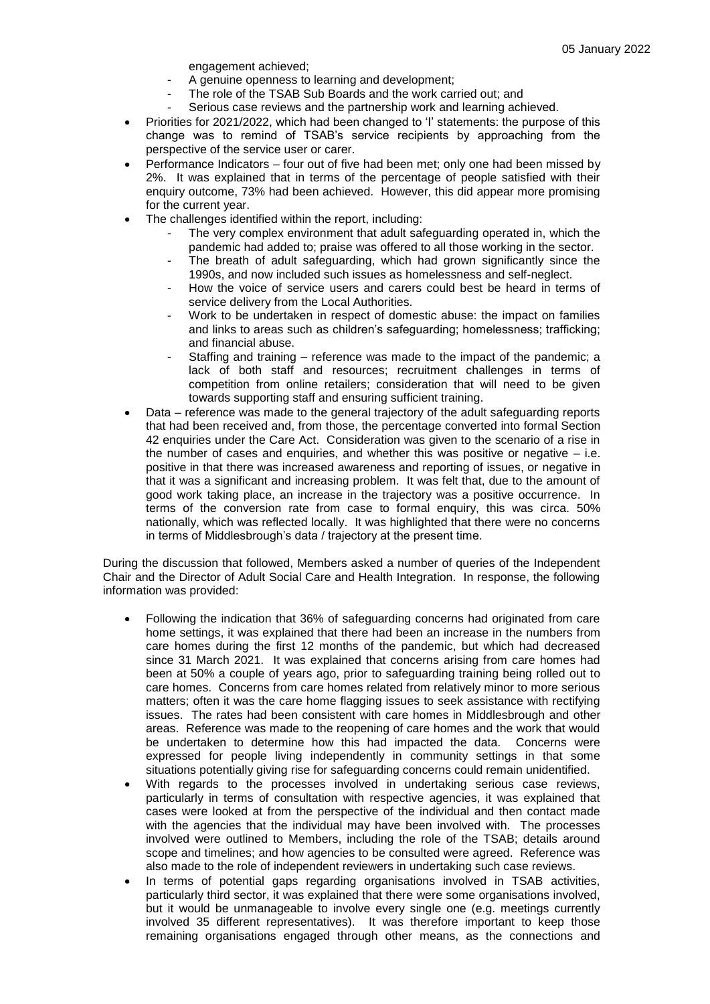engagement achieved;

- A genuine openness to learning and development;
- The role of the TSAB Sub Boards and the work carried out; and
- Serious case reviews and the partnership work and learning achieved.
- Priorities for 2021/2022, which had been changed to 'I' statements: the purpose of this change was to remind of TSAB's service recipients by approaching from the perspective of the service user or carer.
- Performance Indicators four out of five had been met; only one had been missed by 2%. It was explained that in terms of the percentage of people satisfied with their enquiry outcome, 73% had been achieved. However, this did appear more promising for the current year.
- The challenges identified within the report, including:
	- The very complex environment that adult safeguarding operated in, which the pandemic had added to; praise was offered to all those working in the sector.
	- The breath of adult safeguarding, which had grown significantly since the 1990s, and now included such issues as homelessness and self-neglect.
	- How the voice of service users and carers could best be heard in terms of service delivery from the Local Authorities.
	- Work to be undertaken in respect of domestic abuse: the impact on families and links to areas such as children's safeguarding; homelessness; trafficking; and financial abuse.
	- Staffing and training reference was made to the impact of the pandemic; a lack of both staff and resources; recruitment challenges in terms of competition from online retailers; consideration that will need to be given towards supporting staff and ensuring sufficient training.
- Data reference was made to the general trajectory of the adult safeguarding reports that had been received and, from those, the percentage converted into formal Section 42 enquiries under the Care Act. Consideration was given to the scenario of a rise in the number of cases and enquiries, and whether this was positive or negative – i.e. positive in that there was increased awareness and reporting of issues, or negative in that it was a significant and increasing problem. It was felt that, due to the amount of good work taking place, an increase in the trajectory was a positive occurrence. In terms of the conversion rate from case to formal enquiry, this was circa. 50% nationally, which was reflected locally. It was highlighted that there were no concerns in terms of Middlesbrough's data / trajectory at the present time.

During the discussion that followed, Members asked a number of queries of the Independent Chair and the Director of Adult Social Care and Health Integration. In response, the following information was provided:

- Following the indication that 36% of safeguarding concerns had originated from care home settings, it was explained that there had been an increase in the numbers from care homes during the first 12 months of the pandemic, but which had decreased since 31 March 2021. It was explained that concerns arising from care homes had been at 50% a couple of years ago, prior to safeguarding training being rolled out to care homes. Concerns from care homes related from relatively minor to more serious matters; often it was the care home flagging issues to seek assistance with rectifying issues. The rates had been consistent with care homes in Middlesbrough and other areas. Reference was made to the reopening of care homes and the work that would be undertaken to determine how this had impacted the data. Concerns were expressed for people living independently in community settings in that some situations potentially giving rise for safeguarding concerns could remain unidentified.
- With regards to the processes involved in undertaking serious case reviews, particularly in terms of consultation with respective agencies, it was explained that cases were looked at from the perspective of the individual and then contact made with the agencies that the individual may have been involved with. The processes involved were outlined to Members, including the role of the TSAB; details around scope and timelines; and how agencies to be consulted were agreed. Reference was also made to the role of independent reviewers in undertaking such case reviews.
- In terms of potential gaps regarding organisations involved in TSAB activities, particularly third sector, it was explained that there were some organisations involved, but it would be unmanageable to involve every single one (e.g. meetings currently involved 35 different representatives). It was therefore important to keep those remaining organisations engaged through other means, as the connections and